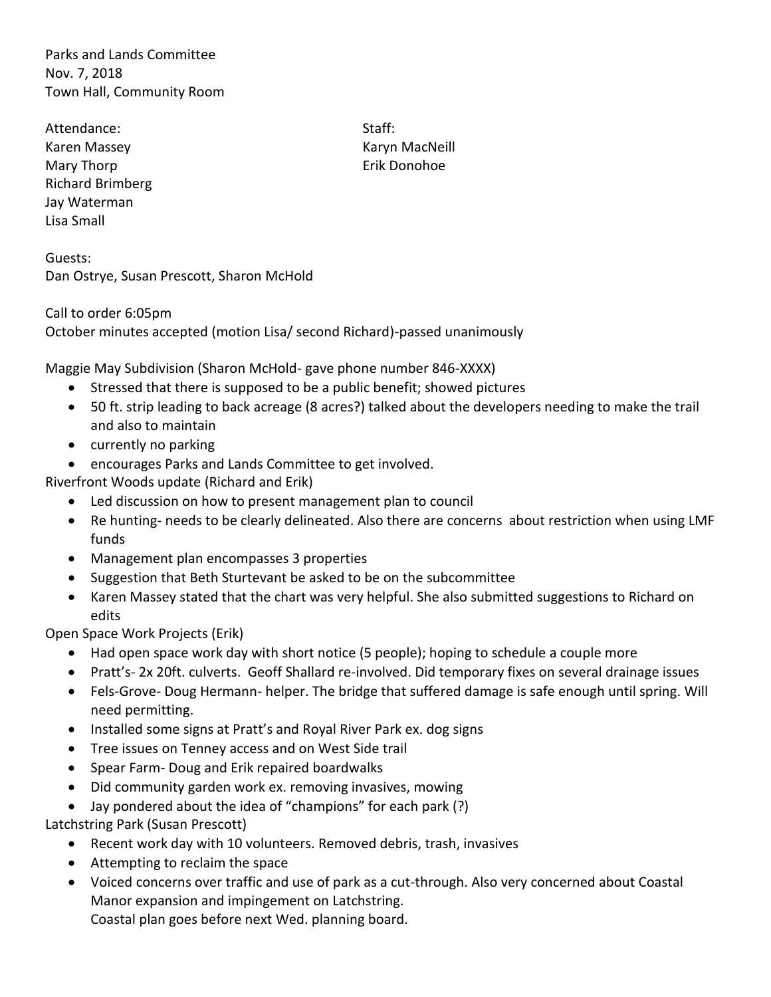Parks and Lands Committee Nov. 7, 2018 Town Hall, Community Room

Attendance: Staff: Karen Massey **Karyn MacNeill** Mary Thorp **Example 20** Service 20 Apr 20 Apr 20 Apr 20 Apr 20 Apr 20 Apr 20 Apr 20 Apr 20 Apr 20 Apr 20 Apr 20 Apr 20 Apr 20 Apr 20 Apr 20 Apr 20 Apr 20 Apr 20 Apr 20 Apr 20 Apr 20 Apr 20 Apr 20 Apr 20 Apr 20 Apr 20 Apr 2 Richard Brimberg Jay Waterman Lisa Small

Guests: Dan Ostrye, Susan Prescott, Sharon McHold

Call to order 6:05pm October minutes accepted (motion Lisa/ second Richard)-passed unanimously

Maggie May Subdivision (Sharon McHold- gave phone number 846-XXXX)

- Stressed that there is supposed to be a public benefit; showed pictures
- 50 ft. strip leading to back acreage (8 acres?) talked about the developers needing to make the trail and also to maintain
- currently no parking
- encourages Parks and Lands Committee to get involved.

Riverfront Woods update (Richard and Erik)

- Led discussion on how to present management plan to council
- Re hunting- needs to be clearly delineated. Also there are concerns about restriction when using LMF funds
- Management plan encompasses 3 properties
- Suggestion that Beth Sturtevant be asked to be on the subcommittee
- Karen Massey stated that the chart was very helpful. She also submitted suggestions to Richard on edits

Open Space Work Projects (Erik)

- Had open space work day with short notice (5 people); hoping to schedule a couple more
- Pratt's- 2x 20ft. culverts. Geoff Shallard re-involved. Did temporary fixes on several drainage issues
- Fels-Grove- Doug Hermann- helper. The bridge that suffered damage is safe enough until spring. Will need permitting.
- Installed some signs at Pratt's and Royal River Park ex. dog signs
- Tree issues on Tenney access and on West Side trail
- Spear Farm- Doug and Erik repaired boardwalks
- Did community garden work ex. removing invasives, mowing
- Jay pondered about the idea of "champions" for each park (?)

Latchstring Park (Susan Prescott)

- Recent work day with 10 volunteers. Removed debris, trash, invasives
- Attempting to reclaim the space
- Voiced concerns over traffic and use of park as a cut-through. Also very concerned about Coastal Manor expansion and impingement on Latchstring. Coastal plan goes before next Wed. planning board.